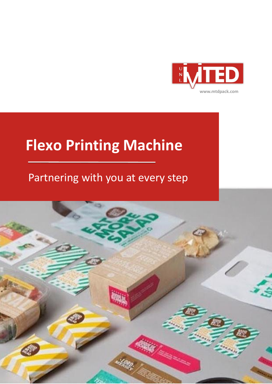

## **Flexo Printing Machine**

### Partnering with you at every step

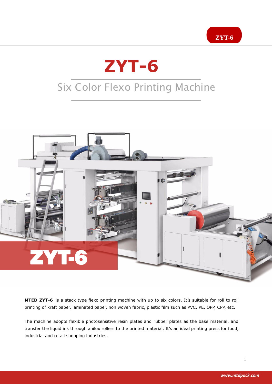# **ZYT-6**

## Six Color Flexo Printing Machine



**MTED ZYT-6** is a stack type flexo printing machine with up to six colors. It's suitable for roll to roll printing of kraft paper, laminated paper, non woven fabric, plastic film such as PVC, PE, OPP, CPP, etc.

The machine adopts flexible photosensitive resin plates and rubber plates as the base material, and transfer the liquid ink through anilox rollers to the printed material. It's an ideal printing press for food, industrial and retail shopping industries.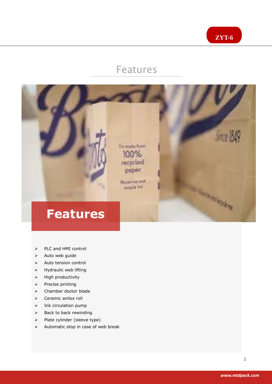

#### Features



- > PLC and HMI control
- $\triangleright$  Auto web guide
- $\triangleright$  Auto tension control
- $\triangleright$  Hydraulic web lifting
- $\triangleright$  High productivity
- $\triangleright$  Precise printing
- Chamber doctor blade
- $\triangleright$  Ceramic anilox roll
- $\triangleright$  Ink circulation pump
- $\triangleright$  Back to back rewinding
- > Plate cylinder (sleeve type)
- $\triangleright$  Automatic stop in case of web break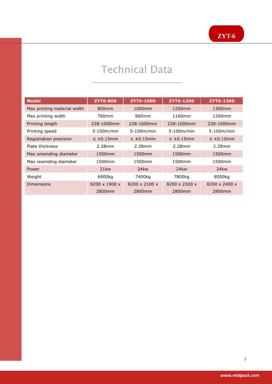#### Technical Data

i

| <b>Model</b>                | <b>ZYT6-800</b>           | ZYT6-1000                 | ZYT6-1200          | ZYT6-1300                 |
|-----------------------------|---------------------------|---------------------------|--------------------|---------------------------|
| Max printing material width | 800 <sub>mm</sub>         | 1000mm                    | 1200mm             | 1300mm                    |
| Max printing width          | 760mm                     | 960mm                     | 1160mm             | 1260mm                    |
| Printing length             | 228-1000mm                | 228-1000mm                | 228-1000mm         | 228-1000mm                |
| Printing speed              | 5-100m/min                | 5-100m/min                | 5-100m/min         | 5-100m/min                |
| Registration precision      | $\leq \pm 0.15$ mm        | $\leq \pm 0.15$ mm        | $\leq \pm 0.15$ mm | $\leq \pm 0.15$ mm        |
| Plate thickness             | 2.28mm                    | 2.28mm                    | 2.28mm             | 2.28mm                    |
| Max unwinding diameter      | 1500mm                    | 1500mm                    | 1500mm             | 1500mm                    |
| Max rewinding diameter      | 1500mm                    | 1500mm                    | 1500mm             | 1500mm                    |
| Power                       | 21 <sub>kw</sub>          | 24 <sub>kw</sub>          | 24 <sub>kw</sub>   | 24 <sub>kw</sub>          |
| Weight                      | 6900kg                    | 7400kg                    | 7800kg             | 8000kg                    |
| Dimensions                  | $8200 \times 1900 \times$ | $8200 \times 2100 \times$ | 8200 x 2300 x      | $8200 \times 2400 \times$ |
|                             | 2800mm                    | 2800mm                    | 2800mm             | 2800mm                    |